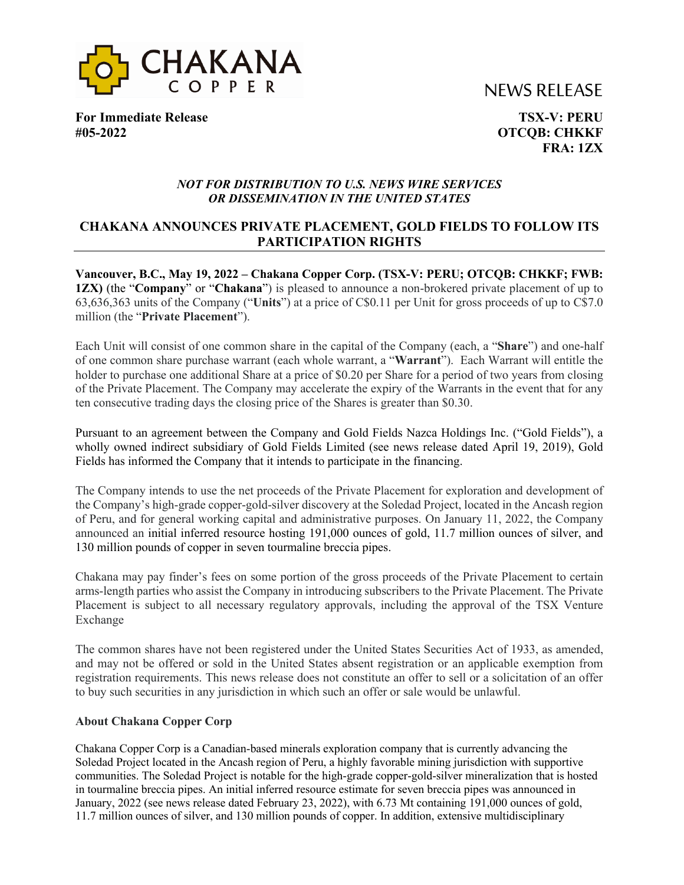



**For Immediate Release TSX-V: PERU #05-2022 OTCQB: CHKKF**

**FRA: 1ZX**

## *NOT FOR DISTRIBUTION TO U.S. NEWS WIRE SERVICES OR DISSEMINATION IN THE UNITED STATES*

# **CHAKANA ANNOUNCES PRIVATE PLACEMENT, GOLD FIELDS TO FOLLOW ITS PARTICIPATION RIGHTS**

**Vancouver, B.C., May 19, 2022 – Chakana Copper Corp. (TSX-V: PERU; OTCQB: CHKKF; FWB: 1ZX)** (the "**Company**" or "**Chakana**") is pleased to announce a non-brokered private placement of up to 63,636,363 units of the Company ("**Units**") at a price of C\$0.11 per Unit for gross proceeds of up to C\$7.0 million (the "**Private Placement**").

Each Unit will consist of one common share in the capital of the Company (each, a "**Share**") and one-half of one common share purchase warrant (each whole warrant, a "**Warrant**"). Each Warrant will entitle the holder to purchase one additional Share at a price of \$0.20 per Share for a period of two years from closing of the Private Placement. The Company may accelerate the expiry of the Warrants in the event that for any ten consecutive trading days the closing price of the Shares is greater than \$0.30.

Pursuant to an agreement between the Company and Gold Fields Nazca Holdings Inc. ("Gold Fields"), a wholly owned indirect subsidiary of Gold Fields Limited (see news release dated April 19, 2019), Gold Fields has informed the Company that it intends to participate in the financing.

The Company intends to use the net proceeds of the Private Placement for exploration and development of the Company's high-grade copper-gold-silver discovery at the Soledad Project, located in the Ancash region of Peru, and for general working capital and administrative purposes. On January 11, 2022, the Company announced an initial inferred resource hosting 191,000 ounces of gold, 11.7 million ounces of silver, and 130 million pounds of copper in seven tourmaline breccia pipes.

Chakana may pay finder's fees on some portion of the gross proceeds of the Private Placement to certain arms-length parties who assist the Company in introducing subscribers to the Private Placement. The Private Placement is subject to all necessary regulatory approvals, including the approval of the TSX Venture Exchange

The common shares have not been registered under the United States Securities Act of 1933, as amended, and may not be offered or sold in the United States absent registration or an applicable exemption from registration requirements. This news release does not constitute an offer to sell or a solicitation of an offer to buy such securities in any jurisdiction in which such an offer or sale would be unlawful.

### **About Chakana Copper Corp**

Chakana Copper Corp is a Canadian-based minerals exploration company that is currently advancing the Soledad Project located in the Ancash region of Peru, a highly favorable mining jurisdiction with supportive communities. The Soledad Project is notable for the high-grade copper-gold-silver mineralization that is hosted in tourmaline breccia pipes. An initial inferred resource estimate for seven breccia pipes was announced in January, 2022 (see news release dated February 23, 2022), with 6.73 Mt containing 191,000 ounces of gold, 11.7 million ounces of silver, and 130 million pounds of copper. In addition, extensive multidisciplinary